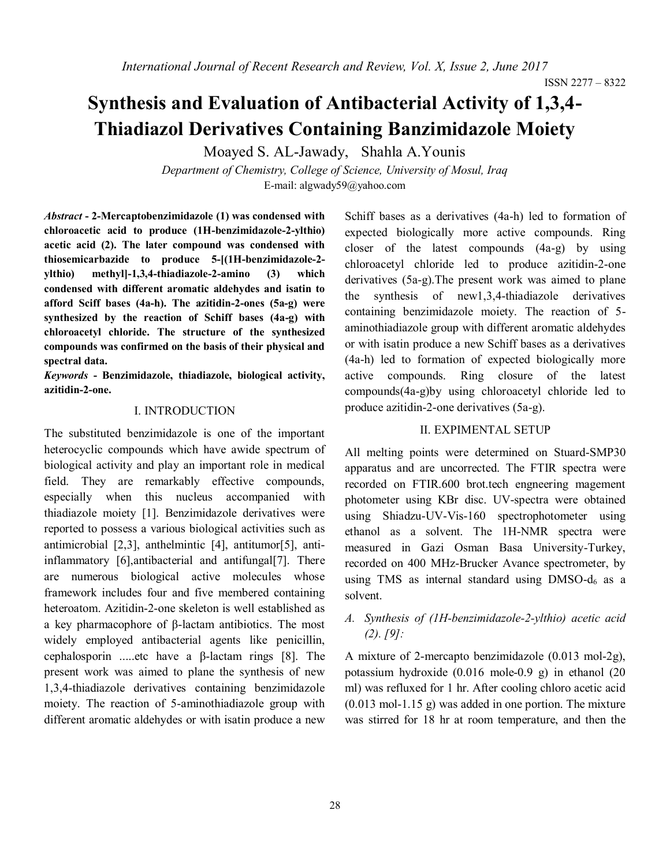# **Synthesis and Evaluation of Antibacterial Activity of 1,3,4- Thiadiazol Derivatives Containing Banzimidazole Moiety**

Moayed S. AL-Jawady, Shahla A.Younis

*Department of Chemistry, College of Science, University of Mosul, Iraq* E-mail[: algwady59@yahoo.com](mailto:algwady59@yahoo.com)

*Abstract* **- 2-Mercaptobenzimidazole (1) was condensed with chloroacetic acid to produce (1H-benzimidazole-2-ylthio) acetic acid (2). The later compound was condensed with thiosemicarbazide to produce 5-[(1H-benzimidazole-2 ylthio) methyl]-1,3,4-thiadiazole-2-amino (3) which condensed with different aromatic aldehydes and isatin to afford Sciff bases (4a-h). The azitidin-2-ones (5a-g) were synthesized by the reaction of Schiff bases (4a-g) with chloroacetyl chloride. The structure of the synthesized compounds was confirmed on the basis of their physical and spectral data.**

*Keywords* **- Benzimidazole, thiadiazole, biological activity, azitidin-2-one.**

### I. INTRODUCTION

The substituted benzimidazole is one of the important heterocyclic compounds which have awide spectrum of biological activity and play an important role in medical field. They are remarkably effective compounds, especially when this nucleus accompanied with thiadiazole moiety [1]. Benzimidazole derivatives were reported to possess a various biological activities such as antimicrobial [2,3], anthelmintic [4], antitumor[5], antiinflammatory [6],antibacterial and antifungal[7]. There are numerous biological active molecules whose framework includes four and five membered containing heteroatom. Azitidin-2-one skeleton is well established as a key pharmacophore of β-lactam antibiotics. The most widely employed antibacterial agents like penicillin, cephalosporin .....etc have a β-lactam rings [8]. The present work was aimed to plane the synthesis of new 1,3,4-thiadiazole derivatives containing benzimidazole moiety. The reaction of 5-aminothiadiazole group with different aromatic aldehydes or with isatin produce a new

Schiff bases as a derivatives (4a-h) led to formation of expected biologically more active compounds. Ring closer of the latest compounds (4a-g) by using chloroacetyl chloride led to produce azitidin-2-one derivatives (5a-g).The present work was aimed to plane the synthesis of new1,3,4-thiadiazole derivatives containing benzimidazole moiety. The reaction of 5 aminothiadiazole group with different aromatic aldehydes or with isatin produce a new Schiff bases as a derivatives (4a-h) led to formation of expected biologically more active compounds. Ring closure of the latest compounds(4a-g)by using chloroacetyl chloride led to produce azitidin-2-one derivatives (5a-g).

#### II. EXPIMENTAL SETUP

All melting points were determined on Stuard-SMP30 apparatus and are uncorrected. The FTIR spectra were recorded on FTIR.600 brot.tech engneering magement photometer using KBr disc. UV-spectra were obtained using Shiadzu-UV-Vis-160 spectrophotometer using ethanol as a solvent. The 1H-NMR spectra were measured in Gazi Osman Basa University-Turkey, recorded on 400 MHz-Brucker Avance spectrometer, by using TMS as internal standard using  $DMSO-d<sub>6</sub>$  as a solvent.

## *A. Synthesis of (1H-benzimidazole-2-ylthio) acetic acid (2). [9]:*

A mixture of 2-mercapto benzimidazole (0.013 mol-2g), potassium hydroxide (0.016 mole-0.9 g) in ethanol (20 ml) was refluxed for 1 hr. After cooling chloro acetic acid (0.013 mol-1.15 g) was added in one portion. The mixture was stirred for 18 hr at room temperature, and then the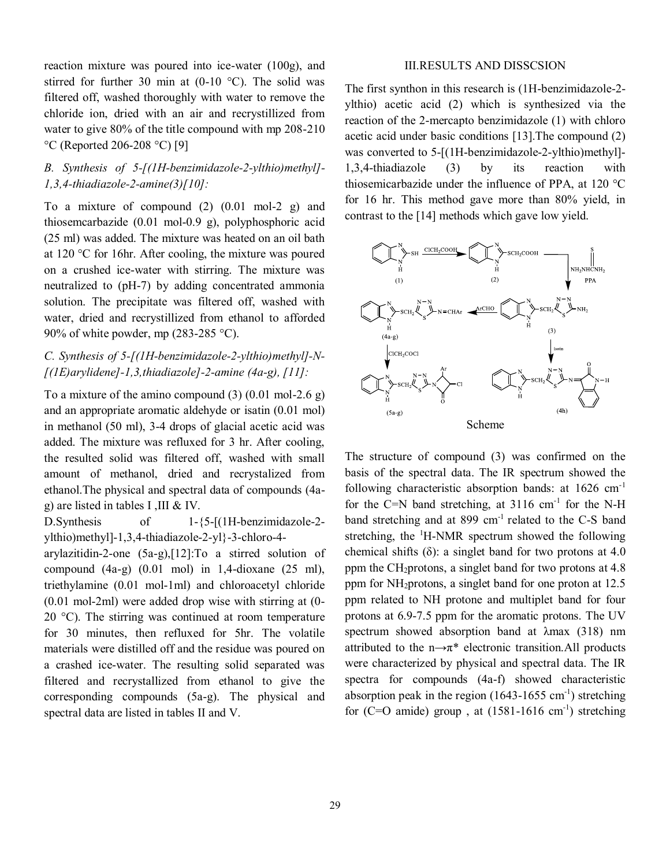reaction mixture was poured into ice-water (100g), and stirred for further 30 min at  $(0-10\degree\text{C})$ . The solid was filtered off, washed thoroughly with water to remove the chloride ion, dried with an air and recrystillized from water to give 80% of the title compound with mp 208-210 °C (Reported 206-208 °C) [9]

## *B. Synthesis of 5-[(1H-benzimidazole-2-ylthio)methyl]- 1,3,4-thiadiazole-2-amine(3)[10]:*

To a mixture of compound  $(2)$   $(0.01 \text{ mol-2 g})$  and thiosemcarbazide (0.01 mol-0.9 g), polyphosphoric acid (25 ml) was added. The mixture was heated on an oil bath at 120 °C for 16hr. After cooling, the mixture was poured on a crushed ice-water with stirring. The mixture was neutralized to (pH-7) by adding concentrated ammonia solution. The precipitate was filtered off, washed with water, dried and recrystillized from ethanol to afforded 90% of white powder, mp  $(283-285 \degree C)$ .

## *C. Synthesis of 5-[(1H-benzimidazole-2-ylthio)methyl]-N- [(1E)arylidene]-1,3,thiadiazole]-2-amine (4a-g), [11]:*

To a mixture of the amino compound  $(3)$   $(0.01 \text{ mol} - 2.6 \text{ g})$ and an appropriate aromatic aldehyde or isatin (0.01 mol) in methanol (50 ml), 3-4 drops of glacial acetic acid was added. The mixture was refluxed for 3 hr. After cooling, the resulted solid was filtered off, washed with small amount of methanol, dried and recrystalized from ethanol.The physical and spectral data of compounds (4ag) are listed in tables I ,III & IV.

D.Synthesis of 1-{5-[(1H-benzimidazole-2 ylthio)methyl]-1,3,4-thiadiazole-2-yl}-3-chloro-4-

arylazitidin-2-one (5a-g),[12]:To a stirred solution of compound  $(4a-g)$   $(0.01 \text{ mol})$  in 1,4-dioxane  $(25 \text{ ml})$ , triethylamine (0.01 mol-1ml) and chloroacetyl chloride (0.01 mol-2ml) were added drop wise with stirring at (0- 20 °C). The stirring was continued at room temperature for 30 minutes, then refluxed for 5hr. The volatile materials were distilled off and the residue was poured on a crashed ice-water. The resulting solid separated was filtered and recrystallized from ethanol to give the corresponding compounds (5a-g). The physical and spectral data are listed in tables II and V.

#### III.RESULTS AND DISSCSION

The first synthon in this research is (1H-benzimidazole-2 ylthio) acetic acid (2) which is synthesized via the reaction of the 2-mercapto benzimidazole (1) with chloro acetic acid under basic conditions [13].The compound (2) was converted to 5-[(1H-benzimidazole-2-ylthio)methyl]-1,3,4-thiadiazole (3) by its reaction with thiosemicarbazide under the influence of PPA, at 120 °C for 16 hr. This method gave more than 80% yield, in contrast to the [14] methods which gave low yield.



The structure of compound (3) was confirmed on the basis of the spectral data. The IR spectrum showed the following characteristic absorption bands: at 1626 cm-1 for the C=N band stretching, at  $3116 \text{ cm}^{-1}$  for the N-H band stretching and at 899 cm<sup>-1</sup> related to the C-S band stretching, the <sup>1</sup>H-NMR spectrum showed the following chemical shifts  $(\delta)$ : a singlet band for two protons at 4.0 ppm the CH2protons, a singlet band for two protons at 4.8 ppm for NH2protons, a singlet band for one proton at 12.5 ppm related to NH protone and multiplet band for four protons at 6.9-7.5 ppm for the aromatic protons. The UV spectrum showed absorption band at λmax (318) nm attributed to the  $n \rightarrow \pi^*$  electronic transition.All products were characterized by physical and spectral data. The IR spectra for compounds (4a-f) showed characteristic absorption peak in the region  $(1643-1655 \text{ cm}^{-1})$  stretching for  $(C=O \text{ amide})$  group, at  $(1581-1616 \text{ cm}^{-1})$  stretching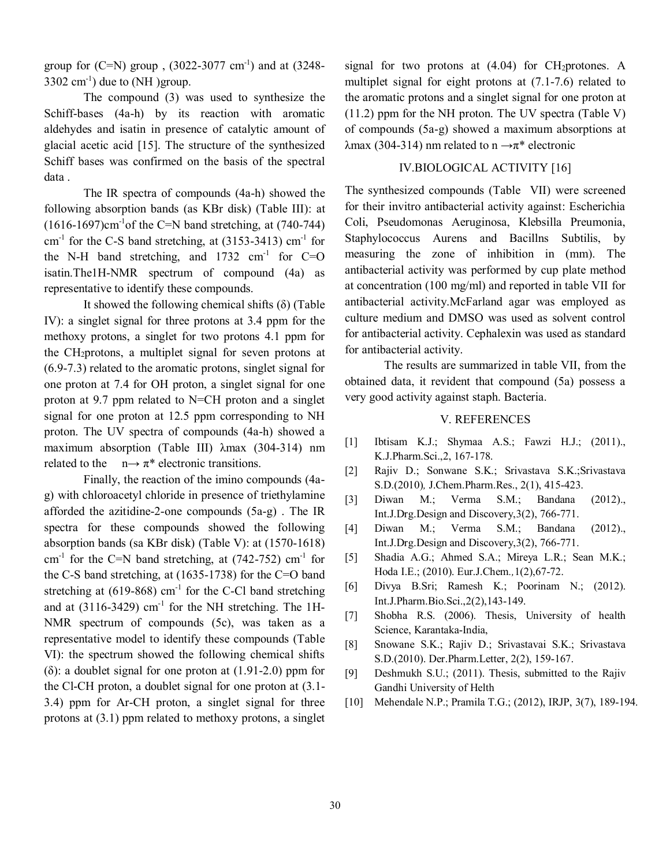group for  $(C=N)$  group,  $(3022-3077 \text{ cm}^{-1})$  and at  $(3248 3302 \text{ cm}^{-1}$ ) due to (NH) group.

The compound (3) was used to synthesize the Schiff-bases (4a-h) by its reaction with aromatic aldehydes and isatin in presence of catalytic amount of glacial acetic acid [15]. The structure of the synthesized Schiff bases was confirmed on the basis of the spectral data .

The IR spectra of compounds (4a-h) showed the following absorption bands (as KBr disk) (Table III): at  $(1616-1697)$ cm<sup>-1</sup>of the C=N band stretching, at  $(740-744)$  $cm<sup>-1</sup>$  for the C-S band stretching, at (3153-3413)  $cm<sup>-1</sup>$  for the N-H band stretching, and  $1732 \text{ cm}^{-1}$  for C=O isatin.The1H-NMR spectrum of compound (4a) as representative to identify these compounds.

It showed the following chemical shifts  $(\delta)$  (Table IV): a singlet signal for three protons at 3.4 ppm for the methoxy protons, a singlet for two protons 4.1 ppm for the CH2protons, a multiplet signal for seven protons at (6.9-7.3) related to the aromatic protons, singlet signal for one proton at 7.4 for OH proton, a singlet signal for one proton at 9.7 ppm related to N=CH proton and a singlet signal for one proton at 12.5 ppm corresponding to NH proton. The UV spectra of compounds (4a-h) showed a maximum absorption (Table III) λmax (304-314) nm related to the  $n \rightarrow \pi^*$  electronic transitions.

Finally, the reaction of the imino compounds (4ag) with chloroacetyl chloride in presence of triethylamine afforded the azitidine-2-one compounds (5a-g) . The IR spectra for these compounds showed the following absorption bands (sa KBr disk) (Table V): at (1570-1618) cm<sup>-1</sup> for the C=N band stretching, at  $(742-752)$  cm<sup>-1</sup> for the C-S band stretching, at (1635-1738) for the C=O band stretching at  $(619-868)$  cm<sup>-1</sup> for the C-Cl band stretching and at  $(3116-3429)$  cm<sup>-1</sup> for the NH stretching. The 1H-NMR spectrum of compounds (5c), was taken as a representative model to identify these compounds (Table VI): the spectrum showed the following chemical shifts (δ): a doublet signal for one proton at (1.91-2.0) ppm for the Cl-CH proton, a doublet signal for one proton at (3.1- 3.4) ppm for Ar-CH proton, a singlet signal for three protons at (3.1) ppm related to methoxy protons, a singlet signal for two protons at  $(4.04)$  for CH<sub>2</sub>protones. A multiplet signal for eight protons at (7.1-7.6) related to the aromatic protons and a singlet signal for one proton at (11.2) ppm for the NH proton. The UV spectra (Table V) of compounds (5a-g) showed a maximum absorptions at λmax (304-314) nm related to  $n \rightarrow \pi^*$  electronic

## IV.BIOLOGICAL ACTIVITY [16]

The synthesized compounds (Table VII) were screened for their invitro antibacterial activity against: Escherichia Coli, Pseudomonas Aeruginosa, Klebsilla Preumonia, Staphylococcus Aurens and Bacillns Subtilis, by measuring the zone of inhibition in (mm). The antibacterial activity was performed by cup plate method at concentration (100 mg/ml) and reported in table VII for antibacterial activity.McFarland agar was employed as culture medium and DMSO was used as solvent control for antibacterial activity. Cephalexin was used as standard for antibacterial activity.

The results are summarized in table VII, from the obtained data, it revident that compound (5a) possess a very good activity against staph. Bacteria.

#### V. REFERENCES

- [1] Ibtisam K.J.; Shymaa A.S.; Fawzi H.J.; (2011)., K.J.Pharm.Sci.,2, 167-178.
- [2] Rajiv D.; Sonwane S.K.; Srivastava S.K.; Srivastava S.D.(2010)*,* J.Chem.Pharm.Res., 2(1), 415-423.
- [3] Diwan M.; Verma S.M.; Bandana (2012)., Int.J.Drg.Design and Discovery,3(2), 766-771.
- [4] Diwan M.; Verma S.M.; Bandana (2012)., Int.J.Drg.Design and Discovery,3(2), 766-771.
- [5] Shadia A.G.; Ahmed S.A.; Mireya L.R.; Sean M.K.; Hoda I.E.; (2010). Eur.J.Chem*.,*1(2),67-72.
- [6] Divya B.Sri; Ramesh K.; Poorinam N.; (2012). Int.J.Pharm.Bio.Sci.,2(2),143-149.
- [7] Shobha R.S. (2006). Thesis, University of health Science, Karantaka-India,
- [8] Snowane S.K.; Rajiv D.; Srivastavai S.K.; Srivastava S.D.(2010). Der.Pharm.Letter, 2(2), 159-167.
- [9] Deshmukh S.U.; (2011). Thesis, submitted to the Rajiv Gandhi University of Helth
- [10] Mehendale N.P.; Pramila T.G.; (2012), IRJP, 3(7), 189-194.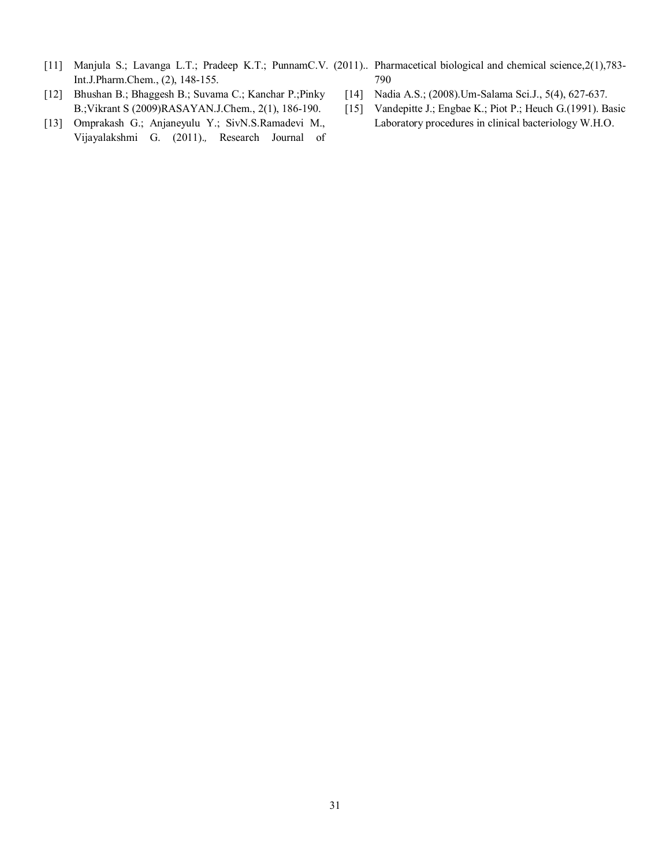- [11] Manjula S.; Lavanga L.T.; Pradeep K.T.; PunnamC.V. (2011).. Pharmacetical biological and chemical science,2(1),783-Int.J.Pharm.Chem., (2), 148-155. 790
- [12] Bhushan B.; Bhaggesh B.; Suvama C.; Kanchar P.;Pinky B.;Vikrant S (2009)RASAYAN.J.Chem., 2(1), 186-190.
- [13] Omprakash G.; Anjaneyulu Y.; SivN.S.Ramadevi M., Vijayalakshmi G. (2011).*,* Research Journal of
- [14] Nadia A.S.; (2008).Um-Salama Sci.J., 5(4), 627-637.
- [15] Vandepitte J.; Engbae K.; Piot P.; Heuch G.(1991). Basic Laboratory procedures in clinical bacteriology W.H.O.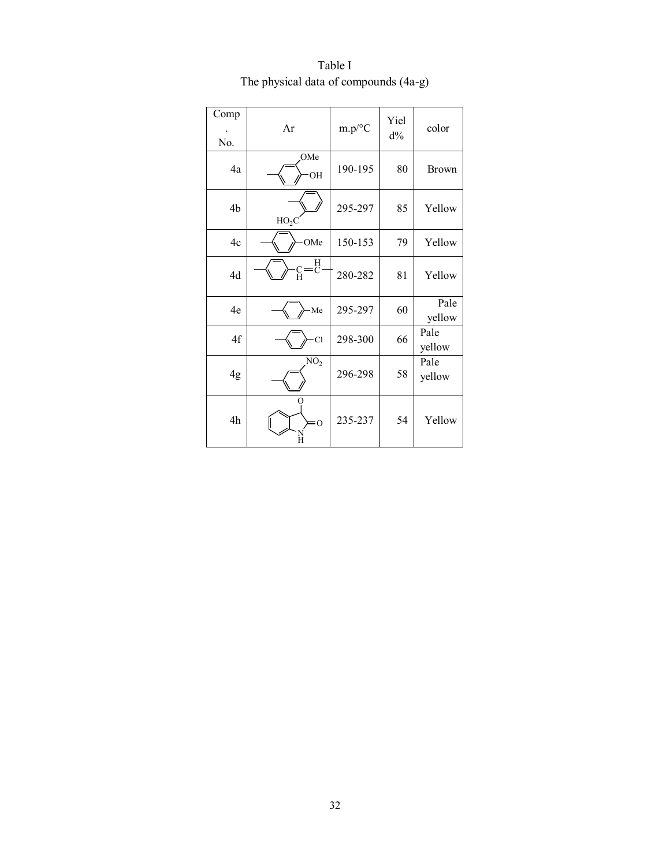| Comp<br>No. | Ar              | $m.p$ /°C | Yiel<br>$d\%$ | color          |
|-------------|-----------------|-----------|---------------|----------------|
| 4a          | OMe<br>OH       | 190-195   | 80            | <b>Brown</b>   |
| 4b          | $HO_2C$         | 295-297   | 85            | Yellow         |
| 4c          | OMe             | 150-153   | 79            | Yellow         |
| 4d          | Н<br>с=ё        | 280-282   | 81            | Yellow         |
| 4e          | Me              | 295-297   | 60            | Pale<br>yellow |
| 4f          | <b>Cl</b>       | 298-300   | 66            | Pale<br>yellow |
| 4g          | NO <sub>2</sub> | 296-298   | 58            | Pale<br>yellow |
| 4h          | $= 0$<br>Н      | 235-237   | 54            | Yellow         |

Table I The physical data of compounds (4a-g)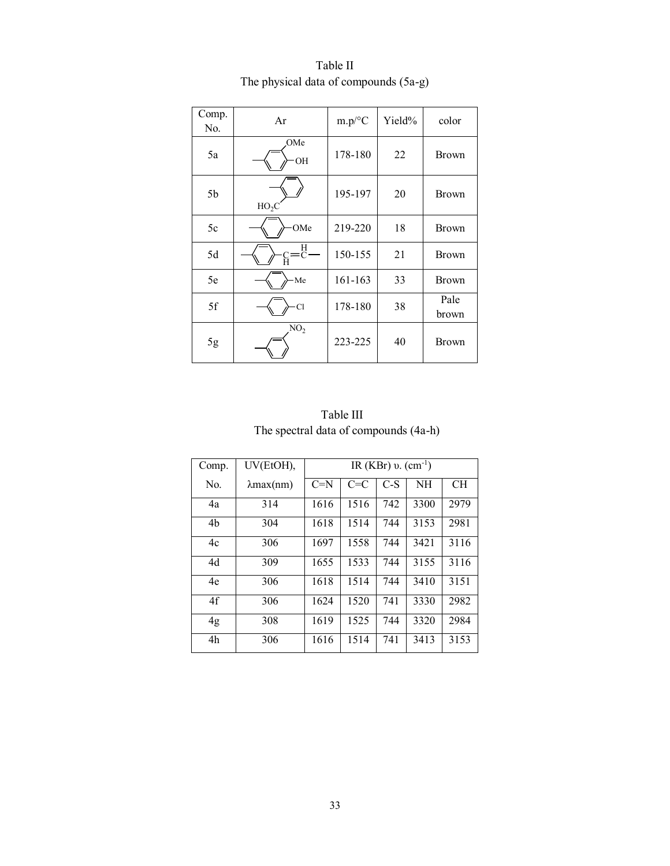| Comp.<br>No. | Ar              | $m.p$ /°C | Yield% | color         |
|--------------|-----------------|-----------|--------|---------------|
| 5a           | OMe<br>OH       | 178-180   | 22     | <b>Brown</b>  |
| 5b           | $HO_2C$         | 195-197   | 20     | <b>Brown</b>  |
| 5c           | OMe             | 219-220   | 18     | <b>Brown</b>  |
| 5d           | H<br>C<br>Ĥ     | 150-155   | 21     | <b>Brown</b>  |
| 5e           | Me              | 161-163   | 33     | <b>Brown</b>  |
| 5f           | Cl              | 178-180   | 38     | Pale<br>brown |
| 5g           | NO <sub>2</sub> | 223-225   | 40     | <b>Brown</b>  |

Table II The physical data of compounds (5a-g)

| Table III                             |  |
|---------------------------------------|--|
| The spectral data of compounds (4a-h) |  |

| Comp. | UV(EtOH),            | IR (KBr) $v.$ (cm <sup>-1</sup> ) |         |       |      |      |
|-------|----------------------|-----------------------------------|---------|-------|------|------|
| No.   | $\lambda$ max $(nm)$ | $C=N$                             | $C = C$ | $C-S$ | NH   | CH.  |
| 4a    | 314                  | 1616                              | 1516    | 742   | 3300 | 2979 |
| 4b    | 304                  | 1618                              | 1514    | 744   | 3153 | 2981 |
| 4c    | 306                  | 1697                              | 1558    | 744   | 3421 | 3116 |
| 4d    | 309                  | 1655                              | 1533    | 744   | 3155 | 3116 |
| 4e    | 306                  | 1618                              | 1514    | 744   | 3410 | 3151 |
| 4f    | 306                  | 1624                              | 1520    | 741   | 3330 | 2982 |
| 4g    | 308                  | 1619                              | 1525    | 744   | 3320 | 2984 |
| 4h    | 306                  | 1616                              | 1514    | 741   | 3413 | 3153 |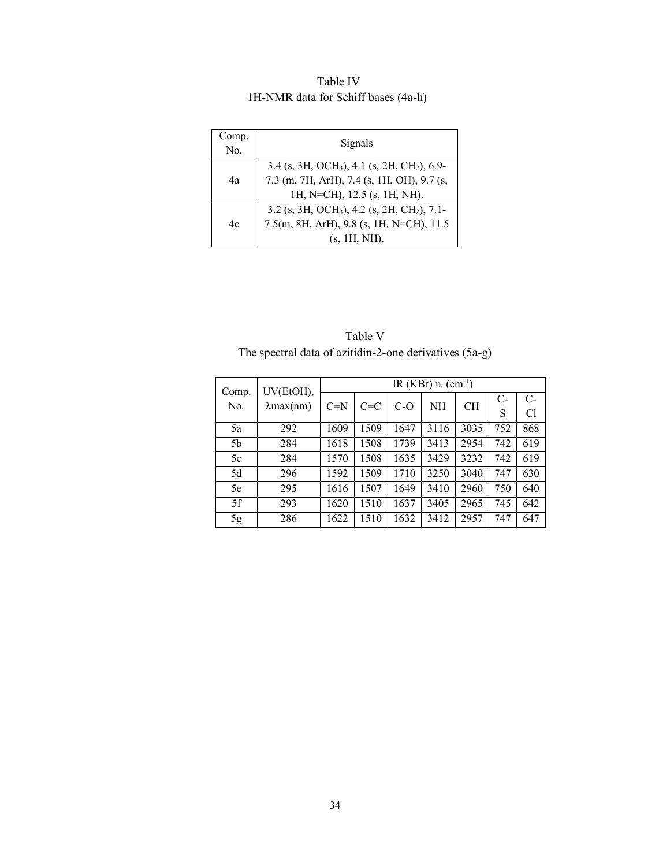Table IV 1H-NMR data for Schiff bases (4a-h)

| Comp.<br>No. | Signals                                                                                                                                           |
|--------------|---------------------------------------------------------------------------------------------------------------------------------------------------|
| 4a           | 3.4 (s, 3H, OCH <sub>3</sub> ), 4.1 (s, 2H, CH <sub>2</sub> ), 6.9-<br>7.3 (m, 7H, ArH), 7.4 (s, 1H, OH), 9.7 (s,<br>1H, N=CH), 12.5 (s, 1H, NH). |
| 4c           | 3.2 (s, 3H, OCH <sub>3</sub> ), 4.2 (s, 2H, CH <sub>2</sub> ), 7.1-<br>7.5(m, 8H, ArH), 9.8 (s, 1H, N=CH), 11.5<br>$(s, 1H, NH)$ .                |

 Table V The spectral data of azitidin-2-one derivatives (5a-g)

|                | UV(EtOH),            | IR (KBr) $v.$ (cm <sup>-1</sup> ) |         |       |      |           |      |      |
|----------------|----------------------|-----------------------------------|---------|-------|------|-----------|------|------|
| Comp.<br>No.   | $\lambda$ max $(nm)$ | $C=N$                             | $C = C$ | $C-O$ | NH   | <b>CH</b> | $C-$ | $C-$ |
|                |                      |                                   |         |       |      |           | S    | Cl   |
| 5a             | 292                  | 1609                              | 1509    | 1647  | 3116 | 3035      | 752  | 868  |
| 5 <sub>b</sub> | 284                  | 1618                              | 1508    | 1739  | 3413 | 2954      | 742  | 619  |
| 5c             | 284                  | 1570                              | 1508    | 1635  | 3429 | 3232      | 742  | 619  |
| 5d             | 296                  | 1592                              | 1509    | 1710  | 3250 | 3040      | 747  | 630  |
| 5e             | 295                  | 1616                              | 1507    | 1649  | 3410 | 2960      | 750  | 640  |
| 5f             | 293                  | 1620                              | 1510    | 1637  | 3405 | 2965      | 745  | 642  |
| 5g             | 286                  | 1622                              | 1510    | 1632  | 3412 | 2957      | 747  | 647  |